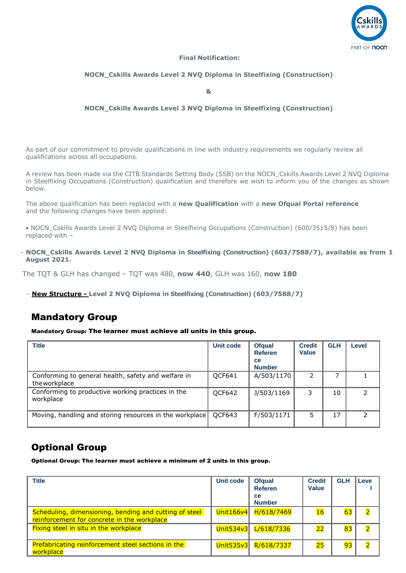

### **Final Notification:**

#### **NOCN\_Cskills Awards Level 2 NVQ Diploma in Steelfixing (Construction)**

**&** 

### **NOCN\_Cskills Awards Level 3 NVQ Diploma in Steelfixing (Construction)**

As part of our commitment to provide qualifications in line with industry requirements we regularly review all qualifications across all occupations.

A review has been made via the CITB Standards Setting Body (SSB) on the NOCN\_Cskills Awards Level 2 NVQ Diploma in Steelfixing Occupations (Construction) qualification and therefore we wish to inform you of the changes as shown below.

The above qualification has been replaced with a **new Qualification** with a **new Ofqual Portal reference** and the following changes have been applied:

• NOCN\_Cskills Awards Level 2 NVQ Diploma in Steelfixing Occupations (Construction) (600/3515/8) has been replaced with –

– **NOCN\_Cskills Awards Level 2 NVQ Diploma in Steelfixing (Construction) (603/7588/7), available as from 1 August 2021.**

The TQT & GLH has changed – TQT was 480, **now 440**, GLH was 160, **now 180**

– **New Structure - Level 2 NVQ Diploma in Steelfixing (Construction) (603/7588/7)**

## Mandatory Group

Mandatory Group: The learner must achieve all units in this group.

| <b>Title</b>                                                         | <b>Unit code</b> | <b>Ofqual</b><br><b>Referen</b><br>ce<br><b>Number</b> | <b>Credit</b><br><b>Value</b> | <b>GLH</b> | Level |
|----------------------------------------------------------------------|------------------|--------------------------------------------------------|-------------------------------|------------|-------|
| Conforming to general health, safety and welfare in<br>the workplace | OCF641           | A/503/1170                                             | 2                             |            |       |
| Conforming to productive working practices in the<br>workplace       | QCF642           | J/503/1169                                             | 3                             | 10         |       |
| Moving, handling and storing resources in the workplace              | QCF643           | F/503/1171                                             | 5                             | 17         |       |

# Optional Group

Optional Group: The learner must achieve a minimum of 2 units in this group.

| <b>Title</b>                                                                                          | Unit code | <b>Ofqual</b><br><b>Referen</b><br><b>ce</b><br><b>Number</b> | <b>Credit</b><br>Value | <b>GLH</b> | Leve                    |
|-------------------------------------------------------------------------------------------------------|-----------|---------------------------------------------------------------|------------------------|------------|-------------------------|
| Scheduling, dimensioning, bending and cutting of steel<br>reinforcement for concrete in the workplace | Unit166v4 | H/618/7469                                                    | 16                     | 63         | $\overline{2}$          |
| Fixing steel in situ in the workplace                                                                 | Unit534v3 | L/618/7336                                                    | 22                     | 83         | $\overline{\mathbf{2}}$ |
| Prefabricating reinforcement steel sections in the<br>workplace                                       | Unit535v3 | R/618/7337                                                    | 25                     | 93         | $\overline{2}$          |